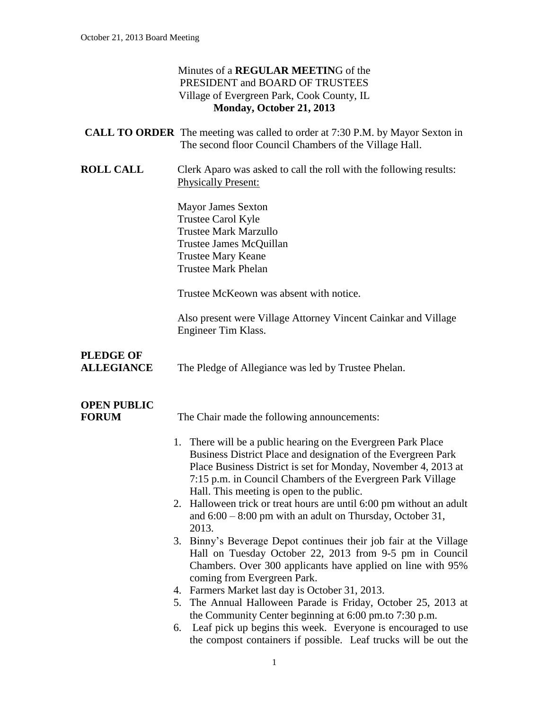#### Minutes of a **REGULAR MEETIN**G of the PRESIDENT and BOARD OF TRUSTEES Village of Evergreen Park, Cook County, IL **Monday, October 21, 2013**

|                                       | <b>CALL TO ORDER</b> The meeting was called to order at 7:30 P.M. by Mayor Sexton in<br>The second floor Council Chambers of the Village Hall.                                                                                                                                                                                                                                                                                                                                                                                                                                                                                                                                                                                                |
|---------------------------------------|-----------------------------------------------------------------------------------------------------------------------------------------------------------------------------------------------------------------------------------------------------------------------------------------------------------------------------------------------------------------------------------------------------------------------------------------------------------------------------------------------------------------------------------------------------------------------------------------------------------------------------------------------------------------------------------------------------------------------------------------------|
| <b>ROLL CALL</b>                      | Clerk Aparo was asked to call the roll with the following results:<br><b>Physically Present:</b>                                                                                                                                                                                                                                                                                                                                                                                                                                                                                                                                                                                                                                              |
|                                       | <b>Mayor James Sexton</b><br>Trustee Carol Kyle<br><b>Trustee Mark Marzullo</b><br>Trustee James McQuillan<br><b>Trustee Mary Keane</b><br><b>Trustee Mark Phelan</b>                                                                                                                                                                                                                                                                                                                                                                                                                                                                                                                                                                         |
|                                       | Trustee McKeown was absent with notice.                                                                                                                                                                                                                                                                                                                                                                                                                                                                                                                                                                                                                                                                                                       |
|                                       | Also present were Village Attorney Vincent Cainkar and Village<br>Engineer Tim Klass.                                                                                                                                                                                                                                                                                                                                                                                                                                                                                                                                                                                                                                                         |
| <b>PLEDGE OF</b><br><b>ALLEGIANCE</b> | The Pledge of Allegiance was led by Trustee Phelan.                                                                                                                                                                                                                                                                                                                                                                                                                                                                                                                                                                                                                                                                                           |
| <b>OPEN PUBLIC</b><br><b>FORUM</b>    | The Chair made the following announcements:                                                                                                                                                                                                                                                                                                                                                                                                                                                                                                                                                                                                                                                                                                   |
|                                       | 1. There will be a public hearing on the Evergreen Park Place<br>Business District Place and designation of the Evergreen Park<br>Place Business District is set for Monday, November 4, 2013 at<br>7:15 p.m. in Council Chambers of the Evergreen Park Village<br>Hall. This meeting is open to the public.<br>2. Halloween trick or treat hours are until 6:00 pm without an adult<br>and $6:00 - 8:00$ pm with an adult on Thursday, October 31,<br>2013.<br>3. Binny's Beverage Depot continues their job fair at the Village<br>Hall on Tuesday October 22, 2013 from 9-5 pm in Council<br>Chambers. Over 300 applicants have applied on line with 95%<br>coming from Evergreen Park.<br>4. Farmers Market last day is October 31, 2013. |
|                                       | 5. The Annual Halloween Parade is Friday, October 25, 2013 at<br>the Community Center beginning at 6:00 pm.to 7:30 p.m.<br>Leaf pick up begins this week. Everyone is encouraged to use                                                                                                                                                                                                                                                                                                                                                                                                                                                                                                                                                       |

6. Leaf pick up begins this week. Everyone is encouraged to use the compost containers if possible. Leaf trucks will be out the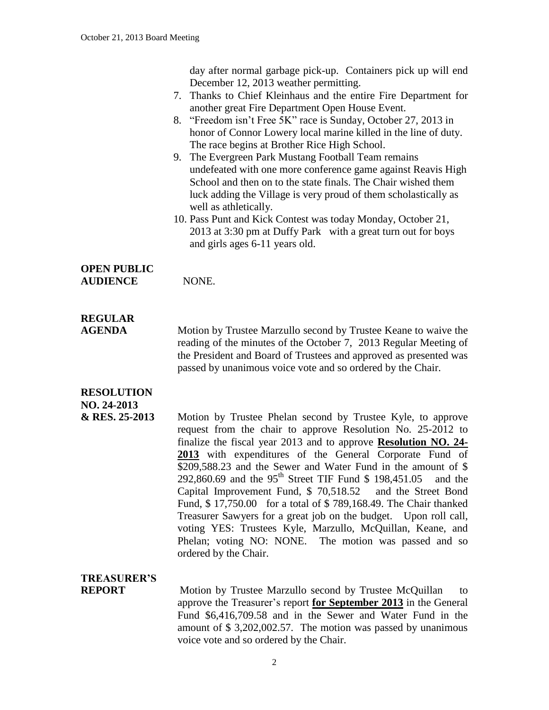day after normal garbage pick-up. Containers pick up will end December 12, 2013 weather permitting. 7. Thanks to Chief Kleinhaus and the entire Fire Department for another great Fire Department Open House Event. 8. "Freedom isn't Free 5K" race is Sunday, October 27, 2013 in honor of Connor Lowery local marine killed in the line of duty. The race begins at Brother Rice High School. 9. The Evergreen Park Mustang Football Team remains undefeated with one more conference game against Reavis High School and then on to the state finals. The Chair wished them luck adding the Village is very proud of them scholastically as well as athletically. 10. Pass Punt and Kick Contest was today Monday, October 21, 2013 at 3:30 pm at Duffy Park with a great turn out for boys and girls ages 6-11 years old. **OPEN PUBLIC AUDIENCE** NONE. **REGULAR AGENDA** Motion by Trustee Marzullo second by Trustee Keane to waive the reading of the minutes of the October 7, 2013 Regular Meeting of the President and Board of Trustees and approved as presented was passed by unanimous voice vote and so ordered by the Chair. **RESOLUTION NO. 24-2013 & RES. 25-2013** Motion by Trustee Phelan second by Trustee Kyle, to approve request from the chair to approve Resolution No. 25-2012 to finalize the fiscal year 2013 and to approve **Resolution NO. 24- 2013** with expenditures of the General Corporate Fund of \$209,588.23 and the Sewer and Water Fund in the amount of \$ 292,860.69 and the 95<sup>th</sup> Street TIF Fund \$ 198,451.05 and the Capital Improvement Fund, \$ 70,518.52 and the Street Bond Fund, \$ 17,750.00 for a total of \$ 789,168.49. The Chair thanked

Treasurer Sawyers for a great job on the budget. Upon roll call, voting YES: Trustees Kyle, Marzullo, McQuillan, Keane, and Phelan; voting NO: NONE. The motion was passed and so ordered by the Chair.

### **TREASURER'S**

**REPORT** Motion by Trustee Marzullo second by Trustee McQuillan to approve the Treasurer's report **for September 2013** in the General Fund \$6,416,709.58 and in the Sewer and Water Fund in the amount of \$ 3,202,002.57. The motion was passed by unanimous voice vote and so ordered by the Chair.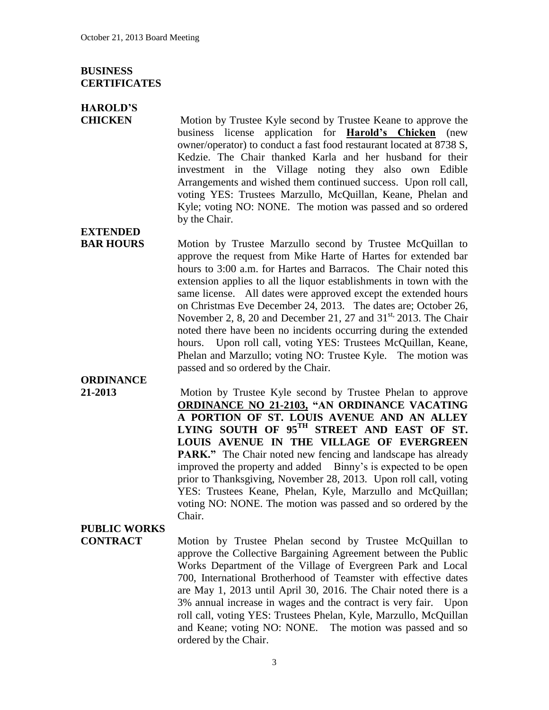#### **BUSINESS CERTIFICATES**

### **HAROLD'S**

**EXTENDED**

**CHICKEN** Motion by Trustee Kyle second by Trustee Keane to approve the business license application for **Harold's Chicken** (new owner/operator) to conduct a fast food restaurant located at 8738 S, Kedzie. The Chair thanked Karla and her husband for their investment in the Village noting they also own Edible Arrangements and wished them continued success. Upon roll call, voting YES: Trustees Marzullo, McQuillan, Keane, Phelan and Kyle; voting NO: NONE. The motion was passed and so ordered by the Chair.

**BAR HOURS** Motion by Trustee Marzullo second by Trustee McQuillan to approve the request from Mike Harte of Hartes for extended bar hours to 3:00 a.m. for Hartes and Barracos. The Chair noted this extension applies to all the liquor establishments in town with the same license. All dates were approved except the extended hours on Christmas Eve December 24, 2013. The dates are; October 26, November 2, 8, 20 and December 21, 27 and  $31<sup>st</sup>$ , 2013. The Chair noted there have been no incidents occurring during the extended hours. Upon roll call, voting YES: Trustees McQuillan, Keane, Phelan and Marzullo; voting NO: Trustee Kyle. The motion was passed and so ordered by the Chair.

## **ORDINANCE**

**21-2013** Motion by Trustee Kyle second by Trustee Phelan to approve **ORDINANCE NO 21-2103, "AN ORDINANCE VACATING A PORTION OF ST. LOUIS AVENUE AND AN ALLEY LYING SOUTH OF 95TH STREET AND EAST OF ST. LOUIS AVENUE IN THE VILLAGE OF EVERGREEN PARK."** The Chair noted new fencing and landscape has already improved the property and added Binny's is expected to be open prior to Thanksgiving, November 28, 2013. Upon roll call, voting YES: Trustees Keane, Phelan, Kyle, Marzullo and McQuillan; voting NO: NONE. The motion was passed and so ordered by the Chair.

# **PUBLIC WORKS**

**CONTRACT** Motion by Trustee Phelan second by Trustee McQuillan to approve the Collective Bargaining Agreement between the Public Works Department of the Village of Evergreen Park and Local 700, International Brotherhood of Teamster with effective dates are May 1, 2013 until April 30, 2016. The Chair noted there is a 3% annual increase in wages and the contract is very fair. Upon roll call, voting YES: Trustees Phelan, Kyle, Marzullo, McQuillan and Keane; voting NO: NONE. The motion was passed and so ordered by the Chair.